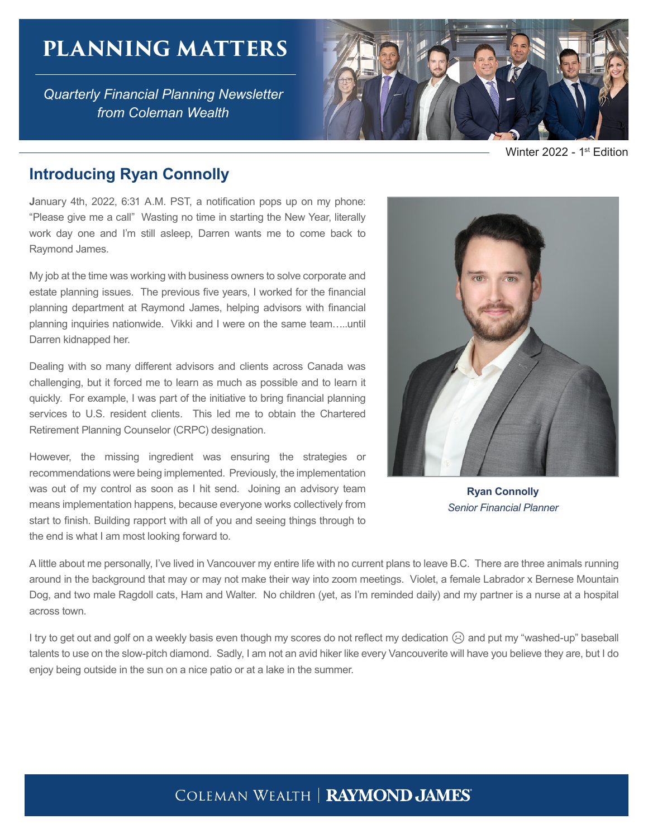# **PLANNING MATTERS**

*Quarterly Financial Planning Newsletter from Coleman Wealth*



Winter 2022 - 1<sup>st</sup> Edition

## **Introducing Ryan Connolly**

**J**anuary 4th, 2022, 6:31 A.M. PST, a notification pops up on my phone: "Please give me a call" Wasting no time in starting the New Year, literally work day one and I'm still asleep, Darren wants me to come back to Raymond James.

My job at the time was working with business owners to solve corporate and estate planning issues. The previous five years, I worked for the financial planning department at Raymond James, helping advisors with financial planning inquiries nationwide. Vikki and I were on the same team…..until Darren kidnapped her.

Dealing with so many different advisors and clients across Canada was challenging, but it forced me to learn as much as possible and to learn it quickly. For example, I was part of the initiative to bring financial planning services to U.S. resident clients. This led me to obtain the Chartered Retirement Planning Counselor (CRPC) designation.

However, the missing ingredient was ensuring the strategies or recommendations were being implemented. Previously, the implementation was out of my control as soon as I hit send. Joining an advisory team means implementation happens, because everyone works collectively from start to finish. Building rapport with all of you and seeing things through to the end is what I am most looking forward to.



**Ryan Connolly**  *Senior Financial Planner*

A little about me personally, I've lived in Vancouver my entire life with no current plans to leave B.C. There are three animals running around in the background that may or may not make their way into zoom meetings. Violet, a female Labrador x Bernese Mountain Dog, and two male Ragdoll cats, Ham and Walter. No children (yet, as I'm reminded daily) and my partner is a nurse at a hospital across town.

I try to get out and golf on a weekly basis even though my scores do not reflect my dedication (☉) and put my "washed-up" baseball talents to use on the slow-pitch diamond. Sadly, I am not an avid hiker like every Vancouverite will have you believe they are, but I do enjoy being outside in the sun on a nice patio or at a lake in the summer.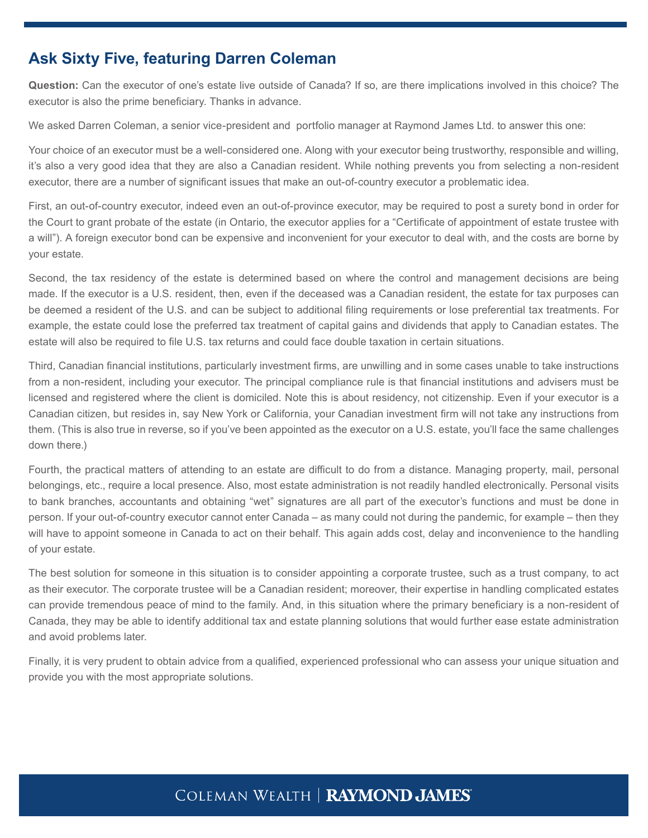## **Ask Sixty Five, featuring Darren Coleman**

**Question:** Can the executor of one's estate live outside of Canada? If so, are there implications involved in this choice? The executor is also the prime beneficiary. Thanks in advance.

We asked Darren Coleman, a senior vice-president and portfolio manager at Raymond James Ltd. to answer this one:

Your choice of an executor must be a well-considered one. Along with your executor being trustworthy, responsible and willing, it's also a very good idea that they are also a Canadian resident. While nothing prevents you from selecting a non-resident executor, there are a number of significant issues that make an out-of-country executor a problematic idea.

First, an out-of-country executor, indeed even an out-of-province executor, may be required to post a surety bond in order for the Court to grant probate of the estate (in Ontario, the executor applies for a "Certificate of appointment of estate trustee with a will"). A foreign executor bond can be expensive and inconvenient for your executor to deal with, and the costs are borne by your estate.

Second, the tax residency of the estate is determined based on where the control and management decisions are being made. If the executor is a U.S. resident, then, even if the deceased was a Canadian resident, the estate for tax purposes can be deemed a resident of the U.S. and can be subject to additional filing requirements or lose preferential tax treatments. For example, the estate could lose the preferred tax treatment of capital gains and dividends that apply to Canadian estates. The estate will also be required to file U.S. tax returns and could face double taxation in certain situations.

Third, Canadian financial institutions, particularly investment firms, are unwilling and in some cases unable to take instructions from a non-resident, including your executor. The principal compliance rule is that financial institutions and advisers must be licensed and registered where the client is domiciled. Note this is about residency, not citizenship. Even if your executor is a Canadian citizen, but resides in, say New York or California, your Canadian investment firm will not take any instructions from them. (This is also true in reverse, so if you've been appointed as the executor on a U.S. estate, you'll face the same challenges down there.)

Fourth, the practical matters of attending to an estate are difficult to do from a distance. Managing property, mail, personal belongings, etc., require a local presence. Also, most estate administration is not readily handled electronically. Personal visits to bank branches, accountants and obtaining "wet" signatures are all part of the executor's functions and must be done in person. If your out-of-country executor cannot enter Canada – as many could not during the pandemic, for example – then they will have to appoint someone in Canada to act on their behalf. This again adds cost, delay and inconvenience to the handling of your estate.

The best solution for someone in this situation is to consider appointing a corporate trustee, such as a trust company, to act as their executor. The corporate trustee will be a Canadian resident; moreover, their expertise in handling complicated estates can provide tremendous peace of mind to the family. And, in this situation where the primary beneficiary is a non-resident of Canada, they may be able to identify additional tax and estate planning solutions that would further ease estate administration and avoid problems later.

Finally, it is very prudent to obtain advice from a qualified, experienced professional who can assess your unique situation and provide you with the most appropriate solutions.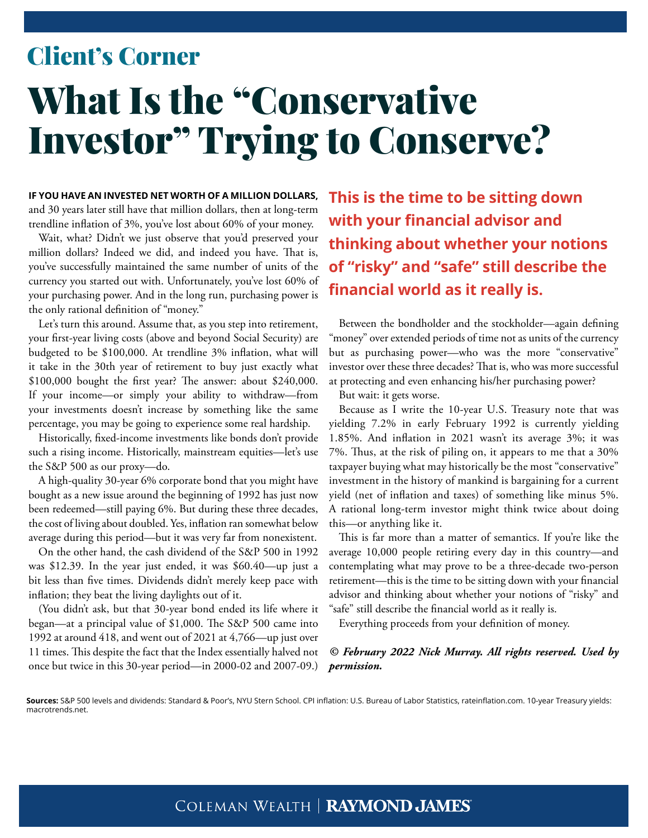# What Is the "Conservative Investor" Trying to Conserve? Client's Corner

**IF YOU HAVE AN INVESTED NET WORTH OF A MILLION DOLLARS,** and 30 years later still have that million dollars, then at long-term trendline inflation of 3%, you've lost about 60% of your money.

Wait, what? Didn't we just observe that you'd preserved your million dollars? Indeed we did, and indeed you have. That is, you've successfully maintained the same number of units of the currency you started out with. Unfortunately, you've lost 60% of your purchasing power. And in the long run, purchasing power is the only rational definition of "money."

Let's turn this around. Assume that, as you step into retirement, your first-year living costs (above and beyond Social Security) are budgeted to be \$100,000. At trendline 3% inflation, what will it take in the 30th year of retirement to buy just exactly what \$100,000 bought the first year? The answer: about \$240,000. If your income—or simply your ability to withdraw—from your investments doesn't increase by something like the same percentage, you may be going to experience some real hardship.

Historically, fixed-income investments like bonds don't provide such a rising income. Historically, mainstream equities—let's use the S&P 500 as our proxy—do.

A high-quality 30-year 6% corporate bond that you might have bought as a new issue around the beginning of 1992 has just now been redeemed—still paying 6%. But during these three decades, the cost of living about doubled. Yes, inflation ran somewhat below average during this period—but it was very far from nonexistent.

On the other hand, the cash dividend of the S&P 500 in 1992 was \$12.39. In the year just ended, it was \$60.40—up just a bit less than five times. Dividends didn't merely keep pace with inflation; they beat the living daylights out of it.

(You didn't ask, but that 30-year bond ended its life where it began—at a principal value of \$1,000. The S&P 500 came into 1992 at around 418, and went out of 2021 at 4,766—up just over 11 times. This despite the fact that the Index essentially halved not once but twice in this 30-year period—in 2000-02 and 2007-09.) **This is the time to be sitting down with your financial advisor and thinking about whether your notions of "risky" and "safe" still describe the financial world as it really is.**

Between the bondholder and the stockholder—again defining "money" over extended periods of time not as units of the currency but as purchasing power—who was the more "conservative" investor over these three decades? That is, who was more successful at protecting and even enhancing his/her purchasing power?

But wait: it gets worse.

Because as I write the 10-year U.S. Treasury note that was yielding 7.2% in early February 1992 is currently yielding 1.85%. And inflation in 2021 wasn't its average 3%; it was 7%. Thus, at the risk of piling on, it appears to me that a 30% taxpayer buying what may historically be the most "conservative" investment in the history of mankind is bargaining for a current yield (net of inflation and taxes) of something like minus 5%. A rational long-term investor might think twice about doing this—or anything like it.

This is far more than a matter of semantics. If you're like the average 10,000 people retiring every day in this country—and contemplating what may prove to be a three-decade two-person retirement—this is the time to be sitting down with your financial advisor and thinking about whether your notions of "risky" and "safe" still describe the financial world as it really is.

Everything proceeds from your definition of money.

#### *© February 2022 Nick Murray. All rights reserved. Used by permission.*

**Sources:** S&P 500 levels and dividends: Standard & Poor's, NYU Stern School. CPI inflation: U.S. Bureau of Labor Statistics, rateinflation.com. 10-year Treasury yields: macrotrends.net.